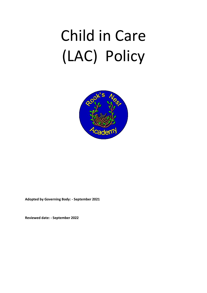# Child in Care (LAC) Policy



**Adopted by Governing Body: - September 2021**

**Reviewed date: - September 2022**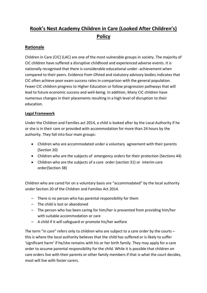# **Rook's Nest Academy Children in Care (Looked After Children's) Policy**

# **Rationale**

Children in Care (CIC) (LAC) are one of the most vulnerable groups in society. The majority of CIC children have suffered a disruptive childhood and experienced adverse events. It is nationally recognised that there is considerable educational under- achievement when compared to their peers. Evidence from Ofsted and statutory advisory bodies indicates that CIC often achieve poor exam success rates in comparison with the general population. Fewer CIC children progress to Higher Education or follow progression pathways that will lead to future economic success and well-being. In addition, Many CIC children have numerous changes in their placements resulting in a high level of disruption to their education.

#### **Legal Framework**

Under the Children and Families act 2014, a child is looked after by the Local Authority if he or she is in their care or provided with accommodation for more than 24 hours by the authority. They fall into four main groups:

- Children who are accommodated under a voluntary agreement with their parents (Section 20)
- Children who are the subjects of emergency orders for their protection (Sections 44)
- Children who are the subjects of a care order (section 31) or interim care order(Section 38)

Children who are cared for on a voluntary basis are "accommodated" by the local authority under Section 20 of the Children and Families Act 2014.

- There is no person who has parental responsibility for them
- The child is lost or abandoned
- The person who has been caring for him/her is prevented from providing him/her with suitable accommodation or care
- A child if it will safeguard or promote his/her welfare

The term "in care" refers only to children who are subject to a care order by the courts – this is where the local authority believes that the child has suffered or is likely to suffer 'significant harm' if he/she remains with his or her birth family. They may apply for a care order to assume parental responsibility for the child. While it is possible that children on care orders live with their parents or other family members if that is what the court decides, most will live with foster carers.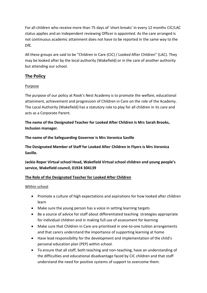For all children who receive more than 75 days of 'short breaks' in every 12 months CIC/LAC status applies and an Independent reviewing Officer is appointed. As the care arranged is not continuous academic attainment does not have to be reported in the same way to the DfE.

All these groups are said to be "Children in Care (CIC) / Looked After Children" (LAC). They may be looked after by the local authority (Wakefield) or in the care of another authority but attending our school.

## **The Policy**

#### Purpose

The purpose of our policy at Rook's Nest Academy is to promote the welfare, educational attainment, achievement and progression of Children in Care on the role of the Academy. The Local Authority (Wakefield) has a statutory role to play for all children in its care and acts as a Corporate Parent.

**The name of the Designated Teacher for Looked After Children Is Mrs Sarah Brooks, Inclusion manager.**

**The name of the Safeguarding Governor is Mrs Veronica Saville**

**The Designated Member of Staff for Looked After Children in Flyers is Mrs Veronica Saville.**

**Jackie Roper Virtual school Head, Wakefield Virtual school children and young people's service, Wakefield council, 01924 304139**

#### **The Role of the Designated Teacher for Looked After Children**

#### Within school

- Promote a culture of high expectations and aspirations for how looked after children learn
- Make sure the young person has a voice in setting learning targets
- Be a source of advice for staff about differentiated teaching strategies appropriate for individual children and in making full use of assessment for learning
- Make sure that Children in Care are prioritised in one-to-one tuition arrangements and that carers understand the importance of supporting learning at home
- Have lead responsibility for the development and implementation of the child's personal education plan (PEP) within school.
- To ensure that all staff, both teaching and non-teaching, have an understanding of the difficulties and educational disadvantage faced by CIC children and that staff understand the need for positive systems of support to overcome them.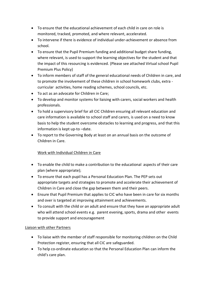- To ensure that the educational achievement of each child in care on role is monitored, tracked, promoted, and where relevant, accelerated.
- To intervene if there is evidence of individual under-achievement or absence from school.
- To ensure that the Pupil Premium funding and additional budget share funding, where relevant, is used to support the learning objectives for the student and that the impact of this resourcing is evidenced. (Please see attached Virtual school Pupil Premium Plus Policy)
- To inform members of staff of the general educational needs of Children in care, and to promote the involvement of these children in school homework clubs, extra curricular activities, home reading schemes, school councils, etc.
- To act as an advocate for Children in Care;
- To develop and monitor systems for liaising with carers, social workers and health professionals.
- To hold a supervisory brief for all CIC Children ensuring all relevant education and care information is available to school staff and carers, is used on a need to know basis to help the student overcome obstacles to learning and progress, and that this information is kept up-to –date.
- To report to the Governing Body at least on an annual basis on the outcome of Children in Care.

### Work with Individual Children in Care

- To enable the child to make a contribution to the educational aspects of their care plan (where appropriate);
- To ensure that each pupil has a Personal Education Plan. The PEP sets out appropriate targets and strategies to promote and accelerate their achievement of Children in Care and close the gap between them and their peers.
- Ensure that Pupil Premium that applies to CIC who have been in care for six months and over is targeted at improving attainment and achievements.
- To consult with the child or *an* adult and ensure that they have an appropriate adult who will attend school events e.g. parent evening, sports, drama and other events to provide support and encouragement

#### Liaison with other Partners

- To liaise with the member of staff responsible for monitoring children on the Child Protection register, ensuring that all CIC are safeguarded.
- To help co-ordinate education so that the Personal Education Plan can inform the child's care plan.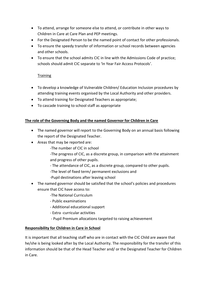- To attend, arrange for someone else to attend, or contribute in other ways to Children in Care at Care Plan and PEP meetings.
- For the Designated Person to be the named point of contact for other professionals.
- To ensure the speedy transfer of information or school records between agencies and other schools.
- To ensure that the school admits CIC in line with the Admissions Code of practice; schools should admit CIC separate to 'In Year Fair Access Protocols'.

#### **Training**

- To develop a knowledge of Vulnerable Children/ Education Inclusion procedures by attending training events organised by the Local Authority and other providers.
- To attend training for Designated Teachers as appropriate;
- To cascade training to school staff as appropriate

#### **The role of the Governing Body and the named Governor for Children in Care**

- The named governor will report to the Governing Body on an annual basis following the report of the Designated Teacher.
- Areas that may be reported are:
	- -The number of CIC in school
	- -The progress of CIC, as a discrete group, in comparison with the attainment and progress of other pupils.
	- The attendance of CIC, as a discrete group, compared to other pupils.
	- -The level of fixed term/ permanent exclusions and
	- -Pupil destinations after leaving school
- The named governor should be satisfied that the school's policies and procedures ensure that CIC have access to:
	- -The National Curriculum
	- Public examinations
	- Additional educational support
	- Extra -curricular activities
	- Pupil Premium allocations targeted to raising achievement

#### **Responsibility for Children in Care in School**

It is important that all teaching staff who are in contact with the CIC Child are aware that he/she is being looked after by the Local Authority. The responsibility for the transfer of this information should be that of the Head Teacher and/ or the Designated Teacher for Children in Care.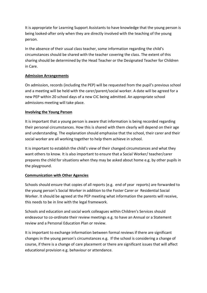It is appropriate for Learning Support Assistants to have knowledge that the young person is being looked-after only when they are directly involved with the teaching of the young person.

In the absence of their usual class teacher, some information regarding the child's circumstances should be shared with the teacher covering the class. The extent of this sharing should be determined by the Head Teacher or the Designated Teacher for Children in Care.

#### **Admission Arrangements**

On admission, records (including the PEP) will be requested from the pupil's previous school and a meeting will be held with the carer/parent/social worker. A date will be agreed for a new PEP within 20 school days of a new CIC being admitted. An appropriate school admissions meeting will take place.

#### **Involving the Young Person**

It is important that a young person is aware that information is being recorded regarding their personal circumstances. How this is shared with them clearly will depend on their age and understanding. The explanation should emphasise that the school, their carer and their social worker are all working together to help them achieve in school.

It is important to establish the child's view of their changed circumstances and what they want others to know. It is also important to ensure that a Social Worker/ teacher/carer prepares the child for situations when they may be asked about home e.g. by other pupils in the playground.

#### **Communication with Other Agencies**

Schools should ensure that copies of all reports (e.g. end of year reports) are forwarded to the young person's Social Worker in addition to the Foster Carer or Residential Social Worker. It should be agreed at the PEP meeting what information the parents will receive, this needs to be in line with the legal framework.

Schools and education and social work colleagues within Children's Services should endeavour to co-ordinate their review meetings e.g. to have an Annual or a Statement review and a Personal Education Plan or review.

It is important to exchange information between formal reviews if there are significant changes in the young person's circumstances e.g. If the school is considering a change of course, if there is a change of care placement or there are significant issues that will affect educational provision e.g. behaviour or attendance.